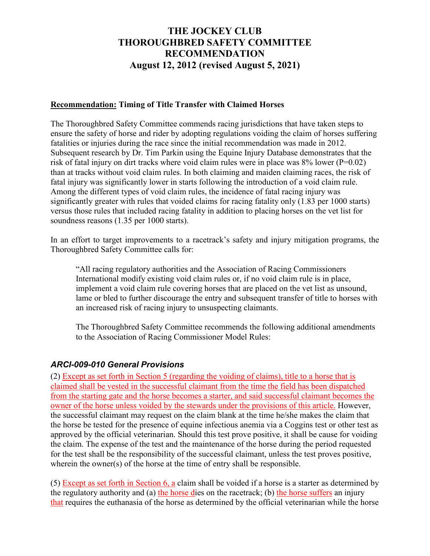## **THE JOCKEY CLUB THOROUGHBRED SAFETY COMMITTEE RECOMMENDATION August 12, 2012 (revised August 5, 2021)**

## **Recommendation: Timing of Title Transfer with Claimed Horses**

The Thoroughbred Safety Committee commends racing jurisdictions that have taken steps to ensure the safety of horse and rider by adopting regulations voiding the claim of horses suffering fatalities or injuries during the race since the initial recommendation was made in 2012. Subsequent research by Dr. Tim Parkin using the Equine Injury Database demonstrates that the risk of fatal injury on dirt tracks where void claim rules were in place was 8% lower (P=0.02) than at tracks without void claim rules. In both claiming and maiden claiming races, the risk of fatal injury was significantly lower in starts following the introduction of a void claim rule. Among the different types of void claim rules, the incidence of fatal racing injury was significantly greater with rules that voided claims for racing fatality only (1.83 per 1000 starts) versus those rules that included racing fatality in addition to placing horses on the vet list for soundness reasons (1.35 per 1000 starts).

In an effort to target improvements to a racetrack's safety and injury mitigation programs, the Thoroughbred Safety Committee calls for:

"All racing regulatory authorities and the Association of Racing Commissioners International modify existing void claim rules or, if no void claim rule is in place, implement a void claim rule covering horses that are placed on the vet list as unsound, lame or bled to further discourage the entry and subsequent transfer of title to horses with an increased risk of racing injury to unsuspecting claimants.

The Thoroughbred Safety Committee recommends the following additional amendments to the Association of Racing Commissioner Model Rules:

## *ARCI-009-010 General Provisions*

(2) Except as set forth in Section 5 (regarding the voiding of claims), title to a horse that is claimed shall be vested in the successful claimant from the time the field has been dispatched from the starting gate and the horse becomes a starter, and said successful claimant becomes the owner of the horse unless voided by the stewards under the provisions of this article. However, the successful claimant may request on the claim blank at the time he/she makes the claim that the horse be tested for the presence of equine infectious anemia via a Coggins test or other test as approved by the official veterinarian. Should this test prove positive, it shall be cause for voiding the claim. The expense of the test and the maintenance of the horse during the period requested for the test shall be the responsibility of the successful claimant, unless the test proves positive, wherein the owner(s) of the horse at the time of entry shall be responsible.

(5) Except as set forth in Section 6, a claim shall be voided if a horse is a starter as determined by the regulatory authority and (a) the horse dies on the racetrack; (b) the horse suffers an injury that requires the euthanasia of the horse as determined by the official veterinarian while the horse